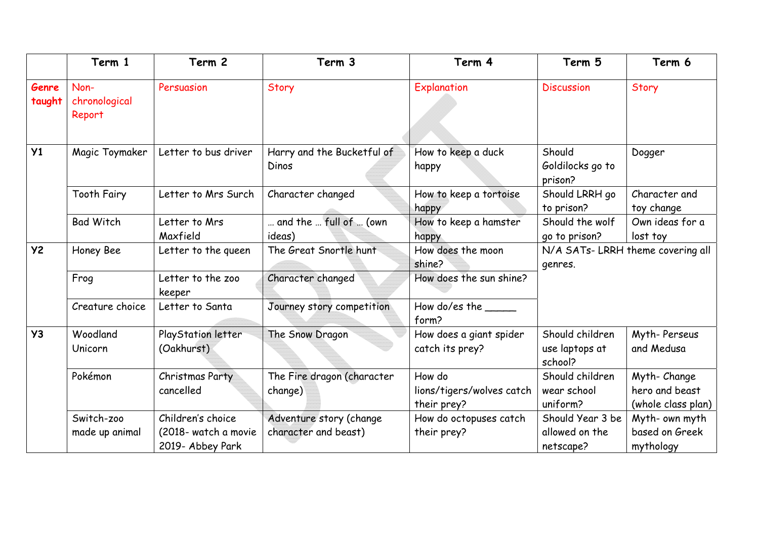|                 | Term 1                          | Term 2                                                        | Term 3                                          | Term 4                                             | Term 5                                          | Term 6                                              |
|-----------------|---------------------------------|---------------------------------------------------------------|-------------------------------------------------|----------------------------------------------------|-------------------------------------------------|-----------------------------------------------------|
| Genre<br>taught | Non-<br>chronological<br>Report | Persuasion                                                    | Story                                           | Explanation                                        | <b>Discussion</b>                               | Story                                               |
| Y <sub>1</sub>  | Magic Toymaker                  | Letter to bus driver                                          | Harry and the Bucketful of<br>Dinos             | How to keep a duck<br>happy                        | Should<br>Goldilocks go to<br>prison?           | Dogger                                              |
|                 | <b>Tooth Fairy</b>              | Letter to Mrs Surch                                           | Character changed                               | How to keep a tortoise<br>happy                    | Should LRRH go<br>to prison?                    | Character and<br>toy change                         |
|                 | <b>Bad Witch</b>                | Letter to Mrs<br>Maxfield                                     | and the  full of  (own<br>ideas)                | How to keep a hamster<br>happy                     | Should the wolf<br>go to prison?                | Own ideas for a<br>lost toy                         |
| <b>Y2</b>       | Honey Bee                       | Letter to the queen                                           | The Great Snortle hunt                          | How does the moon<br>shine?                        | genres.                                         | N/A SATs-LRRH theme covering all                    |
|                 | Frog                            | Letter to the zoo<br>keeper                                   | Character changed                               | How does the sun shine?                            |                                                 |                                                     |
|                 | Creature choice                 | Letter to Santa                                               | Journey story competition                       | How do/es the<br>form?                             |                                                 |                                                     |
| <b>Y3</b>       | Woodland<br>Unicorn             | PlayStation letter<br>(Oakhurst)                              | The Snow Dragon                                 | How does a giant spider<br>catch its prey?         | Should children<br>use laptops at<br>school?    | Myth-Perseus<br>and Medusa                          |
|                 | Pokémon                         | Christmas Party<br>cancelled                                  | The Fire dragon (character<br>change)           | How do<br>lions/tigers/wolves catch<br>their prey? | Should children<br>wear school<br>uniform?      | Myth-Change<br>hero and beast<br>(whole class plan) |
|                 | Switch-zoo<br>made up animal    | Children's choice<br>(2018- watch a movie<br>2019- Abbey Park | Adventure story (change<br>character and beast) | How do octopuses catch<br>their prey?              | Should Year 3 be<br>allowed on the<br>netscape? | Myth- own myth<br>based on Greek<br>mythology       |